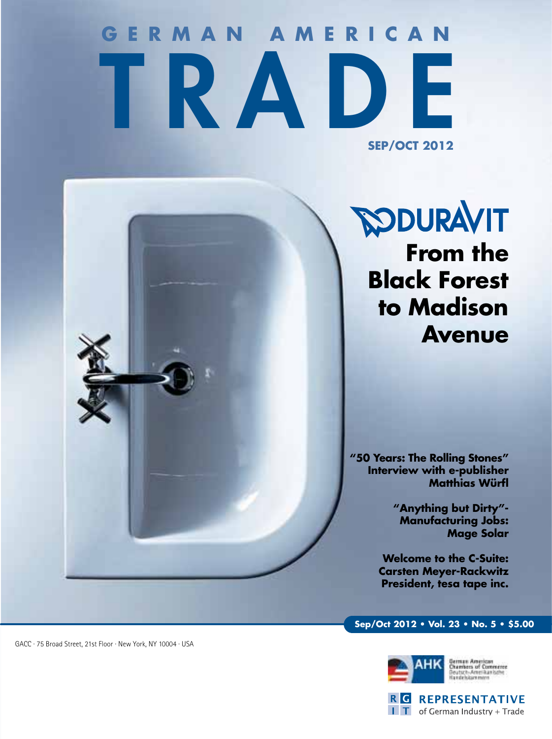## **GERMAN AMERICAN** TRADE **SEP/OCT 2012**

**SODURAVIT From the Black Forest to Madison Avenue**

**"50 Years: The Rolling Stones" Interview with e-publisher Matthias Würfl**

> **"Anything but Dirty"- Manufacturing Jobs: Mage Solar**

**Welcome to the C-Suite: Carsten Meyer-Rackwitz President, tesa tape inc.** 

### **Sep/Oct 2012 • Vol. 23 • No. 5 • \$5.00**





GACC · 75 Broad Street, 21st Floor · New York, NY 10004 · USA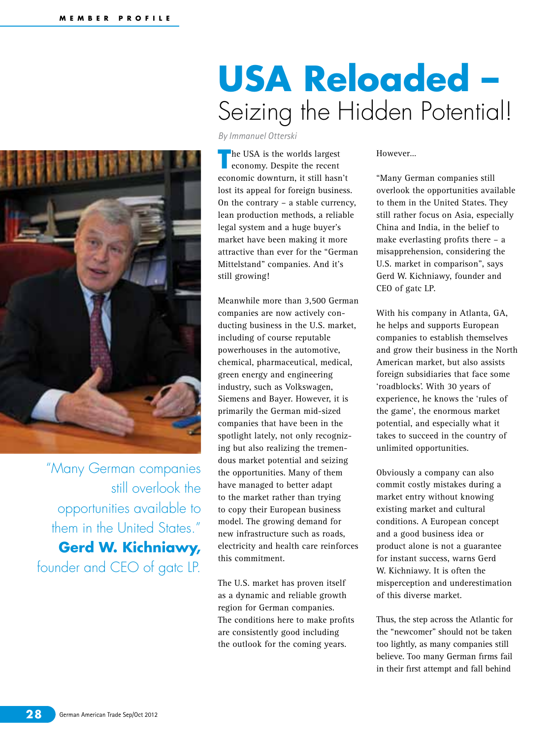

"Many German companies still overlook the opportunities available to them in the United States." **Gerd W. Kichniawy,**  founder and CEO of gatc LP.

### **USA Reloaded –**  Seizing the Hidden Potential!

*By Immanuel Otterski*

**T** he USA is the worlds largest<br>
economy. Despite the recent economic downturn, it still hasn't lost its appeal for foreign business. On the contrary – a stable currency, lean production methods, a reliable legal system and a huge buyer's market have been making it more attractive than ever for the "German Mittelstand" companies. And it's still growing!

Meanwhile more than 3,500 German companies are now actively conducting business in the U.S. market, including of course reputable powerhouses in the automotive, chemical, pharmaceutical, medical, green energy and engineering industry, such as Volkswagen, Siemens and Bayer. However, it is primarily the German mid-sized companies that have been in the spotlight lately, not only recognizing but also realizing the tremendous market potential and seizing the opportunities. Many of them have managed to better adapt to the market rather than trying to copy their European business model. The growing demand for new infrastructure such as roads, electricity and health care reinforces this commitment.

The U.S. market has proven itself as a dynamic and reliable growth region for German companies. The conditions here to make profits are consistently good including the outlook for the coming years.

However…

"Many German companies still overlook the opportunities available to them in the United States. They still rather focus on Asia, especially China and India, in the belief to make everlasting profits there – a misapprehension, considering the U.S. market in comparison", says Gerd W. Kichniawy, founder and CEO of gatc LP.

With his company in Atlanta, GA, he helps and supports European companies to establish themselves and grow their business in the North American market, but also assists foreign subsidiaries that face some 'roadblocks'. With 30 years of experience, he knows the 'rules of the game', the enormous market potential, and especially what it takes to succeed in the country of unlimited opportunities.

Obviously a company can also commit costly mistakes during a market entry without knowing existing market and cultural conditions. A European concept and a good business idea or product alone is not a guarantee for instant success, warns Gerd W. Kichniawy. It is often the misperception and underestimation of this diverse market.

Thus, the step across the Atlantic for the "newcomer" should not be taken too lightly, as many companies still believe. Too many German firms fail in their first attempt and fall behind